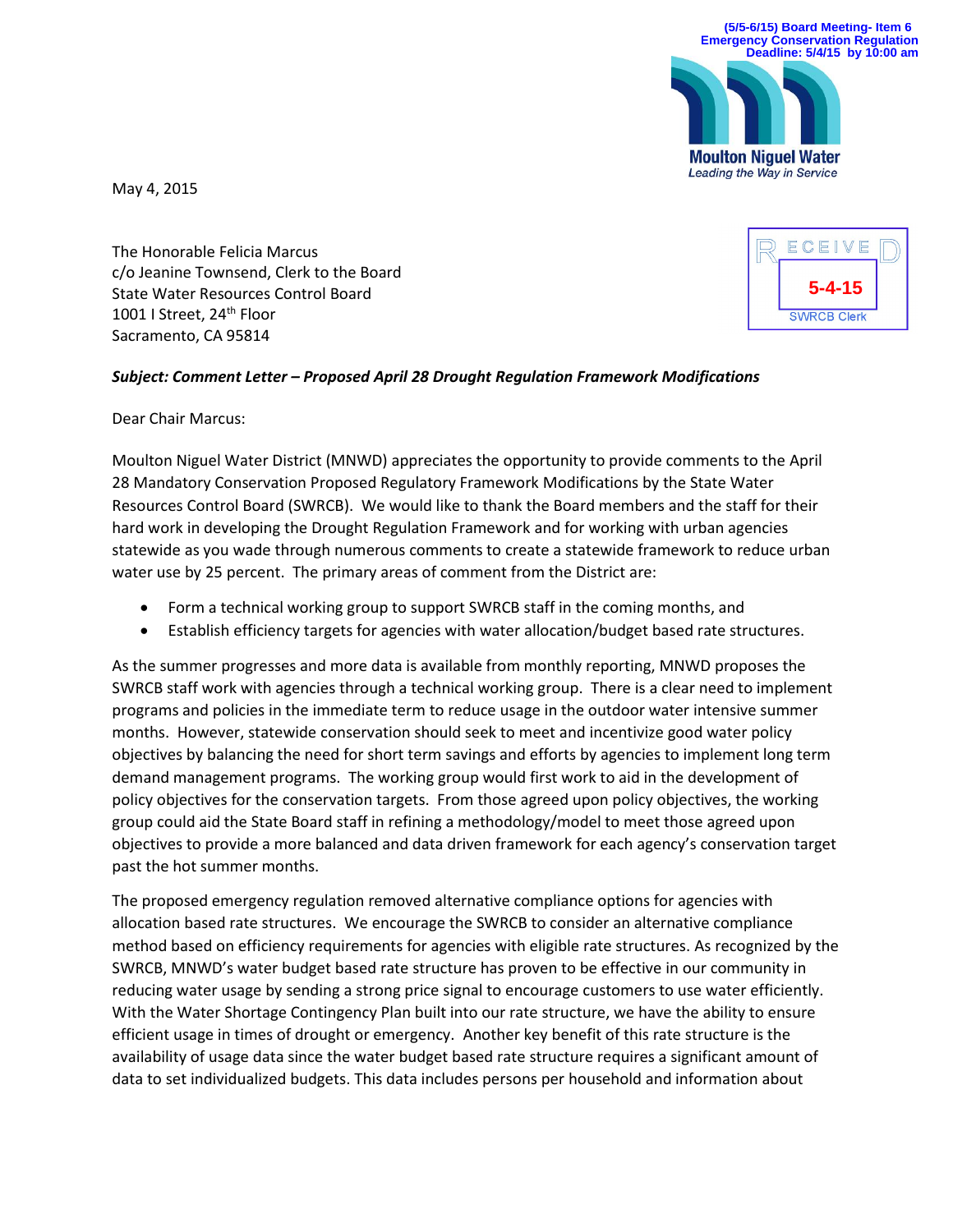**5-4-15**

**SWRCB Clerk** 

ECEIVE



May 4, 2015

The Honorable Felicia Marcus c/o Jeanine Townsend, Clerk to the Board State Water Resources Control Board 1001 I Street, 24<sup>th</sup> Floor Sacramento, CA 95814

## *Subject: Comment Letter – Proposed April 28 Drought Regulation Framework Modifications*

Dear Chair Marcus:

Moulton Niguel Water District (MNWD) appreciates the opportunity to provide comments to the April 28 Mandatory Conservation Proposed Regulatory Framework Modifications by the State Water Resources Control Board (SWRCB). We would like to thank the Board members and the staff for their hard work in developing the Drought Regulation Framework and for working with urban agencies statewide as you wade through numerous comments to create a statewide framework to reduce urban water use by 25 percent. The primary areas of comment from the District are:

- Form a technical working group to support SWRCB staff in the coming months, and
- Establish efficiency targets for agencies with water allocation/budget based rate structures.

As the summer progresses and more data is available from monthly reporting, MNWD proposes the SWRCB staff work with agencies through a technical working group. There is a clear need to implement programs and policies in the immediate term to reduce usage in the outdoor water intensive summer months. However, statewide conservation should seek to meet and incentivize good water policy objectives by balancing the need for short term savings and efforts by agencies to implement long term demand management programs. The working group would first work to aid in the development of policy objectives for the conservation targets. From those agreed upon policy objectives, the working group could aid the State Board staff in refining a methodology/model to meet those agreed upon objectives to provide a more balanced and data driven framework for each agency's conservation target past the hot summer months.

The proposed emergency regulation removed alternative compliance options for agencies with allocation based rate structures. We encourage the SWRCB to consider an alternative compliance method based on efficiency requirements for agencies with eligible rate structures. As recognized by the SWRCB, MNWD's water budget based rate structure has proven to be effective in our community in reducing water usage by sending a strong price signal to encourage customers to use water efficiently. With the Water Shortage Contingency Plan built into our rate structure, we have the ability to ensure efficient usage in times of drought or emergency. Another key benefit of this rate structure is the availability of usage data since the water budget based rate structure requires a significant amount of data to set individualized budgets. This data includes persons per household and information about